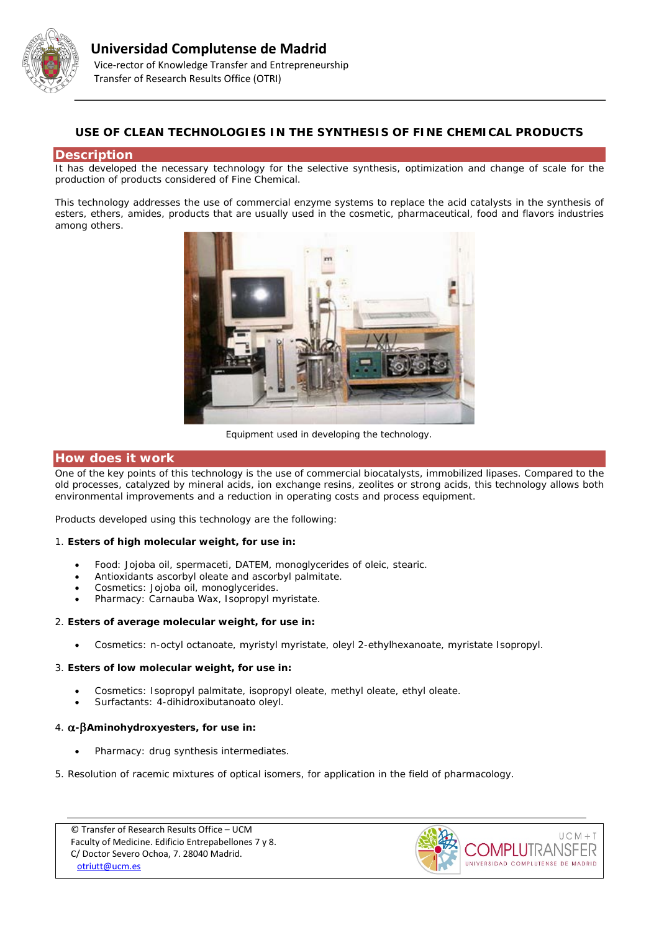

# **USE OF CLEAN TECHNOLOGIES IN THE SYNTHESIS OF FINE CHEMICAL PRODUCTS**

#### **Description**

It has developed the necessary technology for the selective synthesis, optimization and change of scale for the production of products considered of Fine Chemical.

This technology addresses the use of commercial enzyme systems to replace the acid catalysts in the synthesis of esters, ethers, amides, products that are usually used in the cosmetic, pharmaceutical, food and flavors industries among others.



*Equipment used in developing the technology.*

## **How does it work**

One of the key points of this technology is the use of commercial biocatalysts, immobilized lipases. Compared to the old processes, catalyzed by mineral acids, ion exchange resins, zeolites or strong acids, this technology allows both environmental improvements and a reduction in operating costs and process equipment.

Products developed using this technology are the following:

#### 1. **Esters of high molecular weight, for use in:**

- Food: Jojoba oil, spermaceti, DATEM, monoglycerides of oleic, stearic.
- Antioxidants ascorbyl oleate and ascorbyl palmitate.
- Cosmetics: Jojoba oil, monoglycerides.
- Pharmacy: Carnauba Wax, Isopropyl myristate.

#### 2. **Esters of average molecular weight, for use in:**

• Cosmetics: n-octyl octanoate, myristyl myristate, oleyl 2-ethylhexanoate, myristate Isopropyl.

## 3. **Esters of low molecular weight, for use in:**

- Cosmetics: Isopropyl palmitate, isopropyl oleate, methyl oleate, ethyl oleate.
- Surfactants: 4-dihidroxibutanoato oleyl.

## 4. α**-**β**Aminohydroxyesters, for use in:**

- Pharmacy: drug synthesis intermediates.
- 5. Resolution of racemic mixtures of optical isomers, for application in the field of pharmacology.